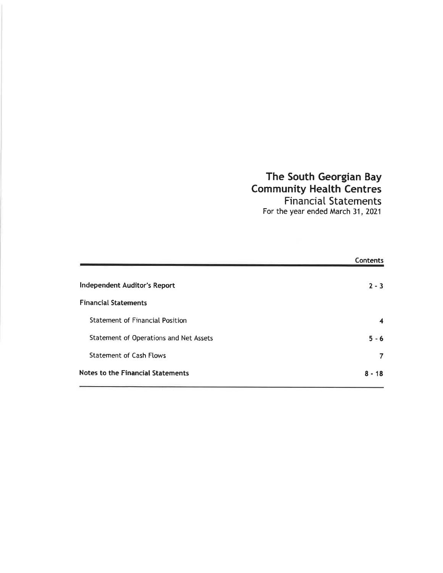# The South Georgian Bay Community Health Centres FinanciaI Statements

For the year ended March 31, Z0Z1

|                                          | Contents |
|------------------------------------------|----------|
| <b>Independent Auditor's Report</b>      | $2 - 3$  |
| <b>Financial Statements</b>              |          |
| <b>Statement of Financial Position</b>   | 4        |
| Statement of Operations and Net Assets   | $5 - 6$  |
| <b>Statement of Cash Flows</b>           | 7        |
| <b>Notes to the Financial Statements</b> | $8 - 18$ |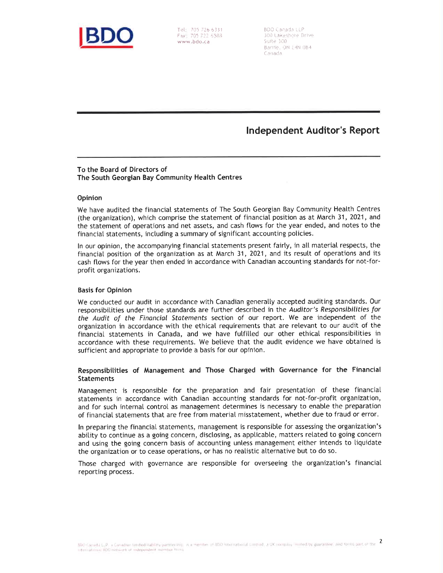

Fax: 705 722 6588 www. bdo. ca

BDO Canada LLP 100 Lakesbare Drive  $S$ cirte  $300$ Barrie. ON L4N 0B4 Canada

lndependent Auditor's Report

### To the Board of Directors of The South Georgian Bay Community Health Centres

#### Opinion

We have audited the financial statements of The South Georgian Bay Community Heatth Centres (the organization), which comprise the statement of financial position as at March 31, 2021 , and the statement of operations and net assets, and cash ftows for the year ended, and notes to the financial statements, including a summary of significant accounting policies.

ln our opinion, the accompanying financial statements present fairty, in all material respects, the financiat position of the organization as at March 31, 2021, and its resutt of operations and its cash ftows for the year then ended in accordance with Canadian accounting standards for not-forprofit organizations.

#### Basis for Opinion

We conducted our audit in accordance with Canadian generally accepted auditing standards. Our responsibitities under those standards are further described in the Audifor's Responsibilities for the Audit of the Financial Stotements section of our report. We are independent of the organization in accordance with the ethical requirements that are retevant to our audit of the financial statements in Canada, and we have fulfilled our other ethical responsibilities in accordance with these requirements. We betieve that the audit evidence we have obtained is sufficient and appropriate to provide a basis for our opinion.

#### Responsibilities of Management and Those Charged with Governance for the Financial Statements

Management is responsibte for the preparation and fair presentation of these financiaI statements in accordance with Canadian accounting standards for not-for-profit organization, and for such internal control as management determines is necessary to enable the preparation of financiat statements that are free from material misstatement, whether due to fraud or error.

In preparing the financial statements, management is responsible for assessing the organization's abitity to continue as a going concern, disctosing, as appticable, matters retated to going concern and using the going concern basis of accounting untess management either intends to liquidate the organization or to cease operations, or has no reatistic atternative but to do so.

Those charged with governance are responsible for overseeing the organization's financial reporting process.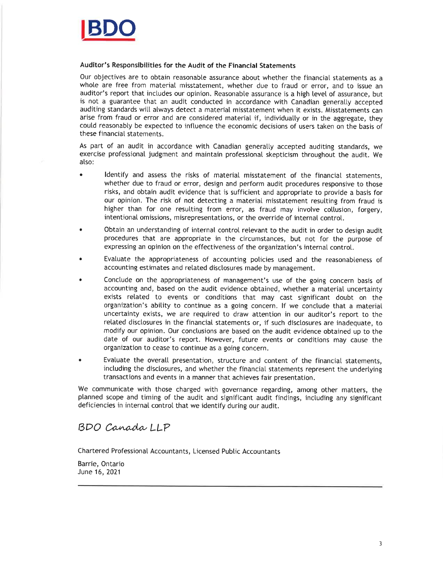

#### Auditor's Responsibilities for the Audit of the Financial Statements

Our objectives are to obtain reasonable assurance about whether the financial statements as <sup>a</sup> whole are free from material misstatement, whether due to fraud or error, and to issue an auditor's report that includes our opinion. Reasonable assurance is a high level of assurance, but is not a guarantee that an audit conducted in accordance with Canadian generalty accepted auditing standards will always detect a material misstatement when it exists. Misstatements can arise from fraud or error and are considered material if, individually or in the aggregate, they could reasonably be expected to influence the economic decisions of users taken on the basis of these financial statements.

As part of an audit in accordance with Canadian generatly accepted auditing standards, we exercise professional judgment and maintain professional skepticism throughout the audit. We also:

- . ldentify and assess the risks of material misstatement of the financiat statements, whether due to fraud or error, design and perform audit procedures responsive to those risks, and obtain audit evidence that is sufficient and appropriate to provide a basis for our opinion. The risk of not detecting a material misstatement resutting from fraud is higher than for one resulting from error, as fraud may involve collusion, forgery, intentional omissions, misrepresentations, or the override of internal control.
- . Obtain an understanding of internal control relevant to the audit in order to design audit procedures that are appropriate in the circumstances, but not for the purpose of expressing an opinion on the effectiveness of the organization's internal control.
- . Evatuate the appropriateness of accounting poticies used and the reasonabteness of accounting estimates and related disclosures made by management.
- . Conctude on the appropriateness of management's use of the going concern basis of accounting and, based on the audit evidence obtained, whether a material uncertainty exists related to events or conditions that may cast significant doubt on the organization's abitity to continue as a going concern. lf we conctude that a material uncertainty exists, we are required to draw attention in our auditor's report to the related disclosures in the financial statements or, if such disclosures are inadequate, to modify our opinion. Our conclusions are based on the audit evidence obtained up to the date of our auditor's report. However, future events or conditions may cause the organization to cease to continue as a going concern.
- . Evatuate the overall presentation, structure and content of the financiat statements, including the disclosures, and whether the financial statements represent the underlying transactions and events in a manner that achieves fair presentation.

We communicate with those charged with governance regarding, among other matters, the planned scope and timing of the audit and significant audit findings, inctuding any significant deficiencies in internal control that we identify during our audit.

# BDO Canada LLP

Chartered Professional Accountants, Licensed Public Accountants

Barrie, Ontario June 16,2021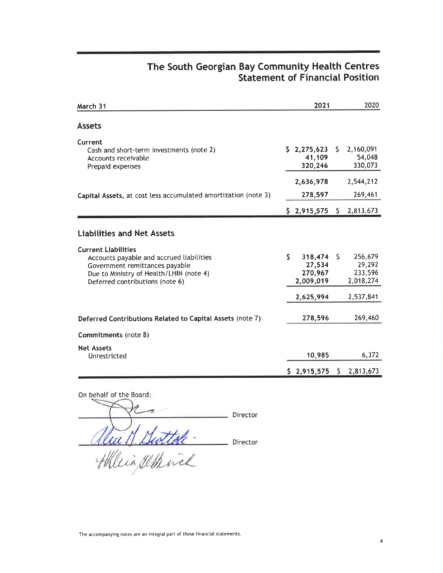### The South Georgian Bay Community Health Centres Statement of Financial Position

| March 31                                                                                                                                                                                                                    | 2021                                            |              | 2020                                      |
|-----------------------------------------------------------------------------------------------------------------------------------------------------------------------------------------------------------------------------|-------------------------------------------------|--------------|-------------------------------------------|
| <b>Assets</b>                                                                                                                                                                                                               |                                                 |              |                                           |
| Current<br>Cash and short-term investments (note 2)<br>Accounts receivable<br>Prepaid expenses                                                                                                                              | \$2,275,623<br>41,109<br>320,246                |              | $5$ 2,160,091<br>54,048<br>330,073        |
|                                                                                                                                                                                                                             | 2,636,978                                       |              | 2,544,212                                 |
| Capital Assets, at cost less accumulated amortization (note 3)                                                                                                                                                              | 278,597                                         |              | 269,461                                   |
|                                                                                                                                                                                                                             | $$2,915,575$ $$2,813,673$                       |              |                                           |
| <b>Liabilities and Net Assets</b><br><b>Current Liabilities</b><br>Accounts payable and accrued liabilities<br>Government remittances payable<br>Due to Ministry of Health/LHIN (note 4)<br>Deferred contributions (note 6) | \$<br>318,474<br>27,534<br>270,967<br>2,009,019 | S.           | 256,679<br>29,292<br>233,596<br>2,018,274 |
|                                                                                                                                                                                                                             | 2,625,994                                       |              | 2,537,841                                 |
| Deferred Contributions Related to Capital Assets (note 7)<br>Commitments (note 8)                                                                                                                                           | 278,596                                         |              | 269,460                                   |
| <b>Net Assets</b><br>Unrestricted                                                                                                                                                                                           | 10,985                                          |              | 6,372                                     |
|                                                                                                                                                                                                                             | \$2,915,575                                     | $\mathsf{S}$ | 2,813,673                                 |

On behatf of the Board Director will Swittele -Director HHL

The accompanying notes are an integral part of these financial statements.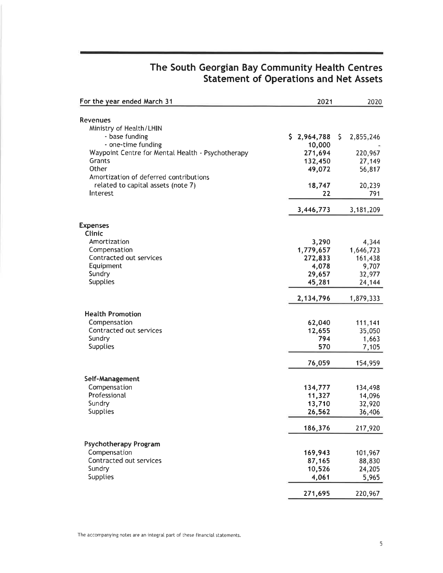| For the year ended March 31                       | 2021             | 2020             |
|---------------------------------------------------|------------------|------------------|
| <b>Revenues</b>                                   |                  |                  |
| Ministry of Health/LHIN                           |                  |                  |
| - base funding                                    | \$2,964,788      | \$.<br>2,855,246 |
| - one-time funding                                | 10,000           |                  |
| Waypoint Centre for Mental Health - Psychotherapy | 271,694          | 220,967          |
| Grants                                            | 132,450          | 27,149           |
| Other                                             | 49,072           | 56,817           |
| Amortization of deferred contributions            |                  |                  |
| related to capital assets (note 7)                | 18,747           | 20,239           |
| Interest                                          | 22               | 791              |
|                                                   | 3,446,773        | 3,181,209        |
| <b>Expenses</b>                                   |                  |                  |
| Clinic                                            |                  |                  |
| Amortization                                      | 3,290            | 4,344            |
| Compensation                                      | 1,779,657        | 1,646,723        |
| Contracted out services                           | 272,833          | 161,438          |
| Equipment                                         | 4,078            | 9,707            |
| Sundry                                            | 29,657           | 32,977           |
| <b>Supplies</b>                                   | 45,281           | 24,144           |
|                                                   | 2,134,796        | 1,879,333        |
| <b>Health Promotion</b>                           |                  |                  |
| Compensation                                      | 62,040           | 111,141          |
| Contracted out services                           | 12,655           | 35,050           |
| Sundry                                            | 794              | 1,663            |
| <b>Supplies</b>                                   | 570              | 7,105            |
|                                                   | 76,059           | 154,959          |
|                                                   |                  |                  |
| Self-Management<br>Compensation                   | 134,777          | 134,498          |
| Professional                                      | 11,327           | 14,096           |
| Sundry                                            | 13,710           | 32,920           |
| <b>Supplies</b>                                   | 26,562           | 36,406           |
|                                                   | 186,376          | 217,920          |
|                                                   |                  |                  |
| <b>Psychotherapy Program</b>                      |                  |                  |
| Compensation<br>Contracted out services           | 169,943          | 101,967          |
| Sundry                                            | 87,165<br>10,526 | 88,830           |
| <b>Supplies</b>                                   | 4,061            | 24,205<br>5,965  |
|                                                   |                  |                  |
|                                                   | 271,695          | 220,967          |

### The South Georgian Bay Community Health Centres Statement of Operations and Net Assets

The accompanying notes are an integral part of these financial statements.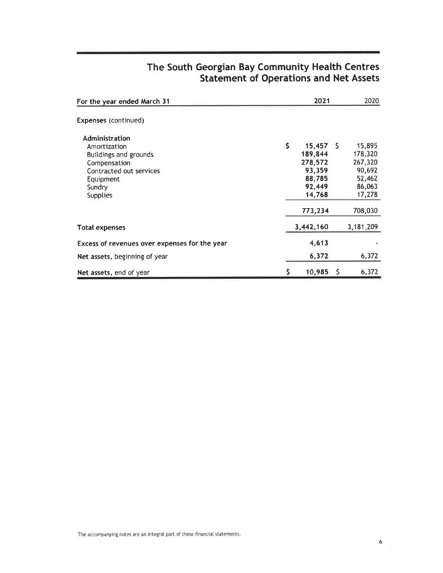| For the year ended March 31                                                                                                                         |     | 2021                                                                      |     | 2020                                                                 |
|-----------------------------------------------------------------------------------------------------------------------------------------------------|-----|---------------------------------------------------------------------------|-----|----------------------------------------------------------------------|
| <b>Expenses</b> (continued)                                                                                                                         |     |                                                                           |     |                                                                      |
| Administration<br>Amortization<br><b>Buildings and grounds</b><br>Compensation<br>Contracted out services<br>Equipment<br>Sundry<br><b>Supplies</b> | \$  | $15,457$ \$<br>189,844<br>278,572<br>93,359<br>88,785<br>92,449<br>14,768 |     | 15,895<br>178,320<br>267,320<br>90,692<br>52,462<br>86,063<br>17,278 |
|                                                                                                                                                     |     | 773,234                                                                   |     | 708,030                                                              |
| <b>Total expenses</b>                                                                                                                               |     | 3,442,160                                                                 |     | 3,181,209                                                            |
| Excess of revenues over expenses for the year                                                                                                       |     | 4,613                                                                     |     |                                                                      |
| Net assets, beginning of year                                                                                                                       |     | 6,372                                                                     |     | 6,372                                                                |
| Net assets, end of year                                                                                                                             | \$. | 10,985                                                                    | -\$ | 6,372                                                                |

# The South Georgian Bay Community Health Centres Statement of Operations and Net Assets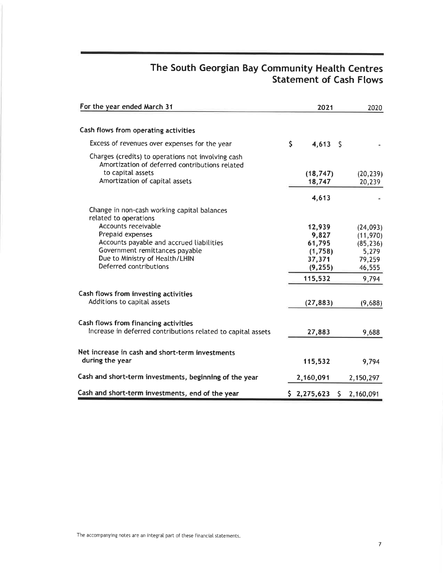# The South Georgian Bay Community Health Centres Statement of Cash Flows

| For the year ended March 31                                                                                               | 2021                | 2020                |
|---------------------------------------------------------------------------------------------------------------------------|---------------------|---------------------|
|                                                                                                                           |                     |                     |
| Cash flows from operating activities                                                                                      |                     |                     |
| Excess of revenues over expenses for the year                                                                             | \$<br>4,613<br>- \$ |                     |
| Charges (credits) to operations not involving cash<br>Amortization of deferred contributions related<br>to capital assets |                     |                     |
| Amortization of capital assets                                                                                            | (18, 747)<br>18,747 | (20, 239)<br>20,239 |
|                                                                                                                           |                     |                     |
|                                                                                                                           | 4,613               |                     |
| Change in non-cash working capital balances<br>related to operations                                                      |                     |                     |
| Accounts receivable                                                                                                       | 12,939              | (24, 093)           |
| Prepaid expenses                                                                                                          | 9,827               | (11,970)            |
| Accounts payable and accrued liabilities                                                                                  | 61,795              | (85, 236)           |
| Government remittances payable                                                                                            | (1,758)             | 5,279               |
| Due to Ministry of Health/LHIN<br>Deferred contributions                                                                  | 37,371              | 79,259              |
|                                                                                                                           | (9, 255)            | 46,555              |
|                                                                                                                           | 115,532             | 9,794               |
| Cash flows from investing activities<br>Additions to capital assets                                                       |                     |                     |
|                                                                                                                           | (27, 883)           | (9,688)             |
| Cash flows from financing activities                                                                                      |                     |                     |
| Increase in deferred contributions related to capital assets                                                              | 27,883              | 9,688               |
| Net increase in cash and short-term investments                                                                           |                     |                     |
| during the year                                                                                                           | 115,532             | 9,794               |
| Cash and short-term investments, beginning of the year                                                                    | 2,160,091           | 2,150,297           |
| Cash and short-term investments, end of the year                                                                          | \$2,275,623<br>\$.  | 2,160,091           |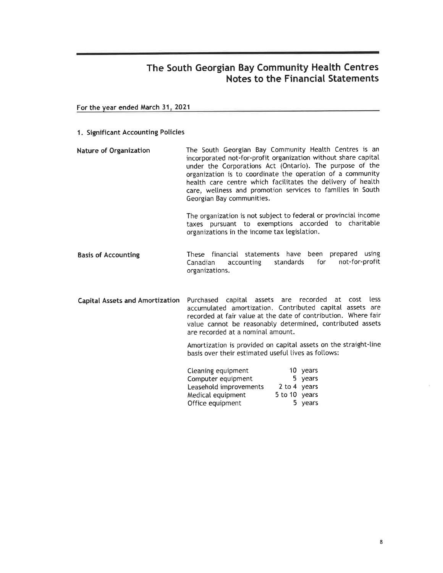For the vear ended March 31.2021

#### 1. Significant Accounting Policies

Nature of Organization The South Georgian Bay Community Heatth Centres is an incorporated not-for-profit organization without share capital under the Corporations Act (Ontario). The purpose of the organization is to coordinate the operation of a community heatth care centre which facititates the delivery of health care, wellness and promotion services to families in South Georgian Bay communities.

> The organization is not subject to federal or provincial income taxes pursuant to exemptions accorded to charitable organizations in the income tax legistation.

Basis of Accounting These financial statements have been prepared using<br>Canadian accounting standards for not-for-profit not-for-profit organizations.

Capital Assets and Amortization Purchased capital assets are recorded at cost less accumulated amortization. Contributed capitaI assets are recorded at fair value at the date of contribution. Where fair vatue cannot be reasonably determined, contributed assets are recorded at a nominal amount.

> Amortization is provided on capital assets on the straight-line basis over their estimated useful lives as follows:

| Cleaning equipment     |               | 10 years |
|------------------------|---------------|----------|
| Computer equipment     |               | 5 years  |
| Leasehold improvements | 2 to 4 years  |          |
| Medical equipment      | 5 to 10 years |          |
| Office equipment       |               | 5 years  |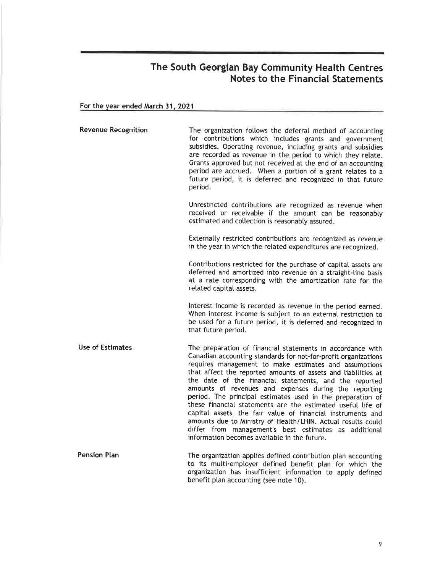For the year ended March 31, 2021

| <b>Revenue Recognition</b> | The organization follows the deferral method of accounting<br>for contributions which includes grants and government<br>subsidies. Operating revenue, including grants and subsidies<br>are recorded as revenue in the period to which they relate.<br>Grants approved but not received at the end of an accounting<br>period are accrued. When a portion of a grant relates to a<br>future period, it is deferred and recognized in that future<br>period.                                                                                                                                                                                                                                                                                    |
|----------------------------|------------------------------------------------------------------------------------------------------------------------------------------------------------------------------------------------------------------------------------------------------------------------------------------------------------------------------------------------------------------------------------------------------------------------------------------------------------------------------------------------------------------------------------------------------------------------------------------------------------------------------------------------------------------------------------------------------------------------------------------------|
|                            | Unrestricted contributions are recognized as revenue when<br>received or receivable if the amount can be reasonably<br>estimated and collection is reasonably assured.                                                                                                                                                                                                                                                                                                                                                                                                                                                                                                                                                                         |
|                            | Externally restricted contributions are recognized as revenue<br>in the year in which the related expenditures are recognized.                                                                                                                                                                                                                                                                                                                                                                                                                                                                                                                                                                                                                 |
|                            | Contributions restricted for the purchase of capital assets are<br>deferred and amortized into revenue on a straight-line basis<br>at a rate corresponding with the amortization rate for the<br>related capital assets.                                                                                                                                                                                                                                                                                                                                                                                                                                                                                                                       |
|                            | Interest income is recorded as revenue in the period earned.<br>When interest income is subject to an external restriction to<br>be used for a future period, it is deferred and recognized in<br>that future period.                                                                                                                                                                                                                                                                                                                                                                                                                                                                                                                          |
| <b>Use of Estimates</b>    | The preparation of financial statements in accordance with<br>Canadian accounting standards for not-for-profit organizations<br>requires management to make estimates and assumptions<br>that affect the reported amounts of assets and liabilities at<br>the date of the financial statements, and the reported<br>amounts of revenues and expenses during the reporting<br>period. The principal estimates used in the preparation of<br>these financial statements are the estimated useful life of<br>capital assets, the fair value of financial instruments and<br>amounts due to Ministry of Health/LHIN. Actual results could<br>differ from management's best estimates as additional<br>information becomes available in the future. |
| <b>Pension Plan</b>        | The organization applies defined contribution plan accounting<br>to its multi-employer defined benefit plan for which the<br>organization has insufficient information to apply defined<br>benefit plan accounting (see note 10).                                                                                                                                                                                                                                                                                                                                                                                                                                                                                                              |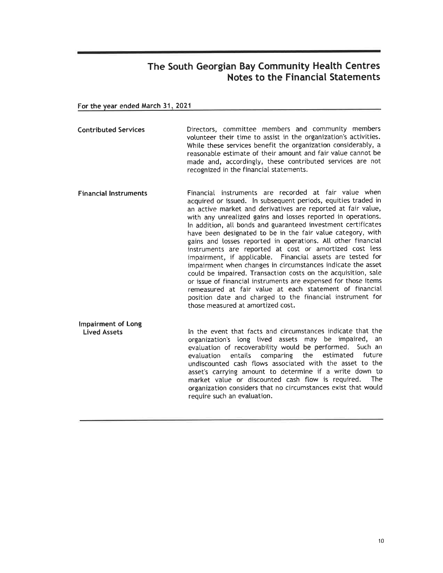For the vear ended March 31.2021

- Contributed Services Directors, committee members and community members votunteer their time to assist in the organization's activities. While these services benefit the organization considerably, a reasonabte estimate of their amount and fair value cannot be made and, accordingly, these contributed services are not recognized in the financiat statements.
- Financial lnstruments Financial instruments are recorded at fair value when acquired or issued. ln subsequent periods, equities traded in an active market and derivatives are reported at fair value, with any unreatized gains and losses reported in operations. In addition, all bonds and guaranteed investment certificates have been designated to be in the fair value category, with gains and losses reported in operations. All other financial instruments are reported at cost or amortized cost less impairment, if applicable. Financial assets are tested for impairment when changes in circumstances indicate the asset coutd be impaired. Transaction costs on the acquisition, sate or issue of financial instruments are expensed for those items remeasured at fair value at each statement of financial position date and charged to the financial instrument for those measured at amortized cost.

lmpairment of Long Lived Assets ln the event that facts and circumstances indicate that the organization's long lived assets may be impaired, an evaluation of recoverability would be performed. Such an evaluation entails comparing the estimated future undiscounted cash ftows associated with the asset to the asset's carrying amount to determine if a write down to<br>market value or discounted cash flow is required. The market value or discounted cash flow is required. organization considers that no circumstances exist that would require such an evaluation.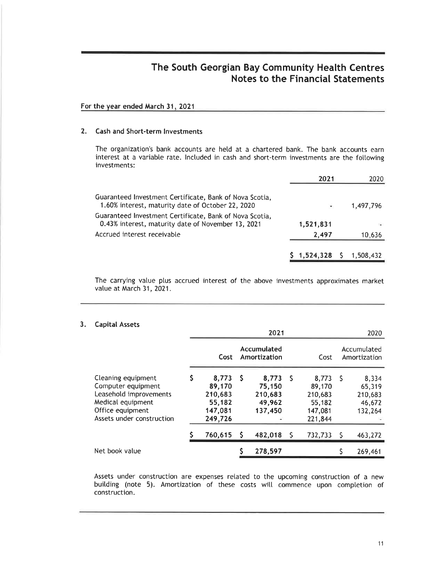#### For the vear ended March 31. 2021

### 2. Cash and Short-term lnvestments

The organization's bank accounts are hetd at a chartered bank. The bank accounts earn interest at a variabte rate. lnctuded in cash and short-term investments are the foltowing investments:

|                                                                                                               | 2021                     | 2020      |
|---------------------------------------------------------------------------------------------------------------|--------------------------|-----------|
| Guaranteed Investment Certificate, Bank of Nova Scotia,<br>1.60% interest, maturity date of October 22, 2020  | $\overline{\phantom{a}}$ | 1,497,796 |
| Guaranteed Investment Certificate, Bank of Nova Scotia,<br>0.43% interest, maturity date of November 13, 2021 | 1,521,831                |           |
| Accrued interest receivable                                                                                   | 2,497                    | 10,636    |
|                                                                                                               | $1,524,328$ \$           | 1,508,432 |

The carrying value plus accrued interest of the above investments approximates market value at March 31, 2021.

#### 3. Capital Assets

|                                                                                                                                          | 2021 |                                                            |    |                                                 | 2020 |                                                            |   |                                                 |
|------------------------------------------------------------------------------------------------------------------------------------------|------|------------------------------------------------------------|----|-------------------------------------------------|------|------------------------------------------------------------|---|-------------------------------------------------|
|                                                                                                                                          |      | Cost                                                       |    | Accumulated<br>Amortization                     |      | Cost                                                       |   | Accumulated<br>Amortization                     |
| Cleaning equipment<br>Computer equipment<br>Leasehold improvements<br>Medical equipment<br>Office equipment<br>Assets under construction | S    | 8,773<br>89,170<br>210,683<br>55,182<br>147,081<br>249,726 | -S | 8,773<br>75,150<br>210,683<br>49,962<br>137,450 | - 5  | 8,773<br>89,170<br>210,683<br>55,182<br>147,081<br>221,844 | S | 8,334<br>65,319<br>210,683<br>46,672<br>132,264 |
|                                                                                                                                          |      | 760,615                                                    | S  | 482,018                                         |      | 732,733                                                    | S | 463,272                                         |
| Net book value                                                                                                                           |      |                                                            |    | 278,597                                         |      |                                                            |   | 269,461                                         |

Assets under construction are expenses retated to the upcoming construction of a new building (note 5). Amortization of these costs will commence upon completion of construction.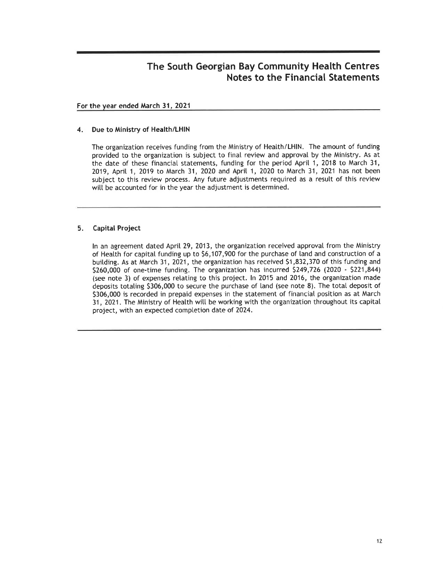#### For the year ended March 31,2021

#### 4. Due to Ministry of Health/LHIN

The organization receives funding from the Ministry of Heatth/LHlN. The amount of funding provided to the organization is subject to final review and approvat by the Ministry. As at the date of these financial statements, funding for the period Aprit 1,2018 to March 31, 2019, April 1, 2019 to March 31, 2020 and April 1, 2020 to March 31, 2021 has not been subject to this review process. Any future adjustments required as a result of this review witt be accounted for in the year the adjustment is determined.

### 5. Capital Project

ln an agreement dated April 29, 2013, the organization received approval from the Ministry of Heatth for capital funding up to 56,107,900 for the purchase of land and construction of <sup>a</sup> buitding. As at March 31, 2021, the organization has received 51,832,370 of this funding and 5260,000 of one-time funding. The organization has incurred 5249,726 (2020 - 5221,844) (see note 3) of expenses relating to this project. ln 2015 and 2016, the organization made deposits totating 5306,000 to secure the purchase of land (see note 8). The total deposit of 5306,000 is recorded in prepaid expenses in the statement of financial position as at March 31, 2021. The Ministry of Health will be working with the organization throughout its capital project, with an expected completion date of 2024.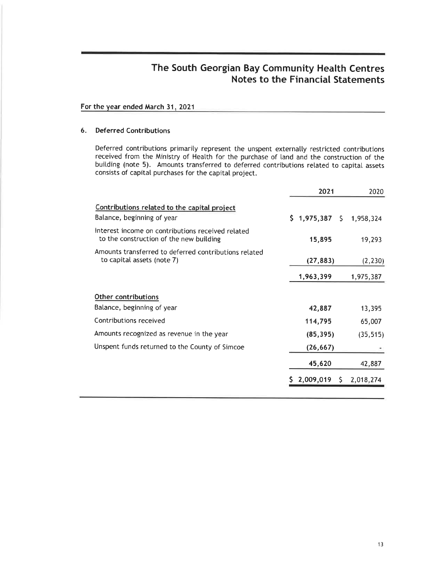#### For the vear ended March 31,2021

#### 6. Deferred Contributions

Deferred contributions primarily represent the unspent externally restricted contributions received from the Ministry of Heatth for the purchase of land and the construction of the buitding (note 5). Amounts transferred to deferred contributions related to capital assets consists of capital purchases for the capital project.

|                                                                                              | 2021        |   | 2020      |  |
|----------------------------------------------------------------------------------------------|-------------|---|-----------|--|
| Contributions related to the capital project<br>Balance, beginning of year                   | \$1,975,387 |   | 1,958,324 |  |
| Interest income on contributions received related<br>to the construction of the new building | 15,895      |   | 19,293    |  |
| Amounts transferred to deferred contributions related<br>to capital assets (note 7)          | (27, 883)   |   | (2, 230)  |  |
|                                                                                              | 1,963,399   |   | 1,975,387 |  |
| Other contributions                                                                          |             |   |           |  |
| Balance, beginning of year                                                                   | 42,887      |   | 13,395    |  |
| Contributions received                                                                       | 114,795     |   | 65,007    |  |
| Amounts recognized as revenue in the year                                                    | (85, 395)   |   | (35, 515) |  |
| Unspent funds returned to the County of Simcoe                                               | (26, 667)   |   |           |  |
|                                                                                              | 45,620      |   | 42,887    |  |
|                                                                                              | 2,009,019   | S | 2,018,274 |  |
|                                                                                              |             |   |           |  |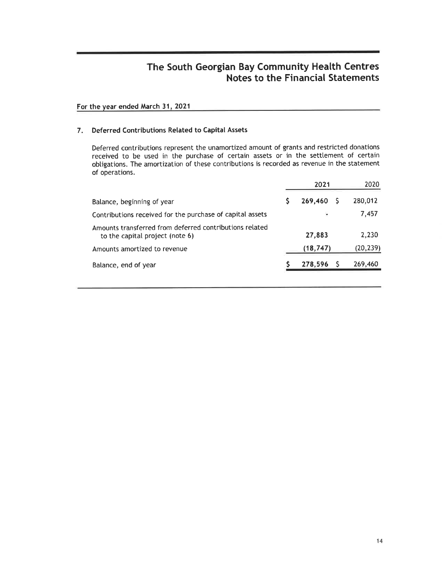### For the year ended March 31, 2021

#### 7. Deferred Contributions Related to Capital Assets

Deferred contributions represent the unamortized amount of grants and restricted donations received to be used in the purchase of certain assets or in the setttement of certain obtigations. The amortization of these contributions is recorded as revenue in the statement of operations.

|                                                                                            | 2021 |                          | 2020      |  |
|--------------------------------------------------------------------------------------------|------|--------------------------|-----------|--|
| Balance, beginning of year                                                                 |      | 269,460                  | 280,012   |  |
| Contributions received for the purchase of capital assets                                  |      | $\overline{\phantom{a}}$ | 7,457     |  |
| Amounts transferred from deferred contributions related<br>to the capital project (note 6) |      | 27,883                   | 2,230     |  |
| Amounts amortized to revenue                                                               |      | (18, 747)                | (20, 239) |  |
| Balance, end of year                                                                       |      | 278,596                  | 269,460   |  |
|                                                                                            |      |                          |           |  |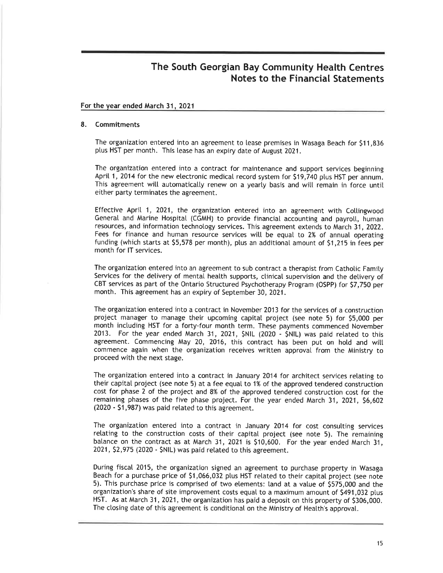#### For the vear ended March 31, 2021

#### 8. Commitments

The organization entered into an agreement to lease premises in Wasaga Beach for \$11,836 ptus HST per month. This lease has an expiry date of August 2021.

The organization entered into a contract for maintenance and support services beginning April 1, 2014 for the new electronic medical record system for \$19,740 plus HST per annum. This agreement will automatically renew on a yearly basis and will remain in force until either party terminates the agreement.

Effective April 1, 2021, the organization entered into an agreement with Collingwood General and Marine Hospital (CGMH) to provide financial accounting and payroll, human resources, and information technology services. This agreement extends to March 31, 2022. Fees for finance and human resource services witt be equal to 2% of annual operating funding (which starts at 55,578 per month), plus an additionat amount of 51,215 in fees per month for lT services.

The organization entered into an agreement to sub contract a therapist from Cathotic Famity Services for the delivery of mental health supports, clinical supervision and the delivery of CBT services as part of the Ontario Structured Psychotherapy Program (OSPP) for \$7,750 per month. This agreement has an expiry of September 30, 2021.

The organization entered into a contract in November 2013 for the services of a construction project manager to manage their upcoming capital project (see note 5) for 55,000 per month including HST for a forty-four month term. These payments commenced November 2013. For the year ended March 31, 2021, \$NIL (2020 - \$NIL) was paid related to this agreement. Commencing May 20, 2016, this contract has been put on hold and will commence again when the organization receives written approval from the Ministry to proceed with the next stage.

The organization entered into a contract in January 2014 for architect services retating to their capital project (see note 5) at a fee equal to 1% of the approved tendered construction cost for phase 2 of the project and 8% of the approved tendered construction cost for the remaining phases of the five phase project. For the year ended March 31, 2021, \$6,602 (2020 - 51,987) was paid retated to this agreement.

The organization entered into a contract in January 2014 for cost consulting services relating to the construction costs of their capital project (see note 5). The remaining balance on the contract as at March 31, 2021 is \$10,600. For the year ended March 31, 2021, 52,975 (2020 - \$NlL) was paid retated to this agreement.

During fiscal 2015, the organization signed an agreement to purchase property in Wasaga Beach for a purchase price of 51,066,032 plus HST related to their capital project (see note 5). This purchase price is comprised of two etements: tand at a vatue of 5575,000 and the organization's share of site improvement costs equal to a maximum amount of \$491,032 plus HST. As at March 31,2021, the organization has paid a deposit on this property of 5306,000. The closing date of this agreement is conditional on the Ministry of Health's approval.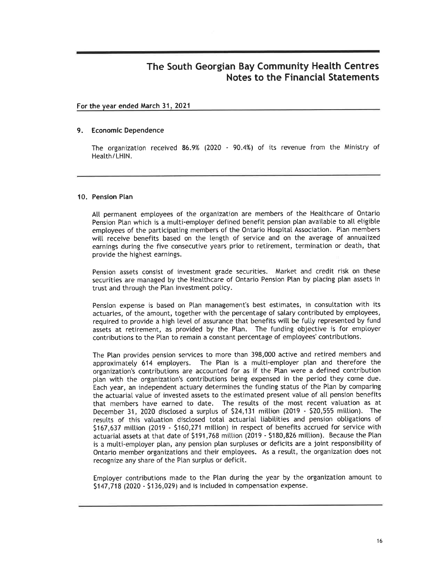### For the vear ended March 31.2021

#### 9. Economic Dependence

The organization received 86.9% (2020 - 90.4%) of its revenue from the Ministry of Heatth/LHlN.

#### 10. Pension Plan

All permanent emptoyees of the organization are members of the Heatthcare of Ontario Pension Plan which is a multi-employer defined benefit pension plan available to all eligible employees of the participating members of the Ontario Hospital Association. Plan members witl receive benefits based on the length of service and on the average of annuatized earnings during the five consecutive years prior to retirement, termination or death, that provide the highest earnings.

Pension assets consist of investment grade securities. Market and credit risk on these securities are managed by the Healthcare of Ontario Pension Plan by placing plan assets in trust and through the Plan investment policy.

Pension expense is based on Plan management's best estimates, in consultation with its actuaries, of the amount, together with the percentage of salary contributed by emptoyees, required to provide a high level of assurance that benefits will be fully represented by fund assets at retirement, as provided by the Plan. The funding objective is for employer contributions to the Ptan to remain a constant percentage of employees'contributions.

The Ptan provides pension services to more than 398,000 active and retired members and approximately 614 employers. The Plan is a multi-employer plan and therefore the organization's contributions are accounted for as if the Ptan were a defined contribution ptan with the organization's contributions being expensed in the period they come due. Each year, an independent actuary determines the funding status of the Ptan by comparing the actuarial value of invested assets to the estimated present value of all pension benefits that members have earned to date. The resutts of the most recent valuation as at December 31, 2020 disclosed a surplus of \$24,131 million (2019 - \$20,555 million). The resutts of this vatuation disctosed total actuariat tiabitities and pension obtigations of 5167,637 miltion (2019 - 5160,271 miltion) in respect of benefits accrued for service with actuarial assets at that date of \$191,768 million (2019 - \$180,826 million). Because the Plan is a multi-employer plan, any pension plan surpluses or deficits are a joint responsibility of Ontario member organizations and their employees. As a resutt, the organization does not recognize any share of the Plan surplus or deficit.

Emptoyer contributions made to the Plan during the year by the organization amount to \$147,718 (2020 - \$136,029) and is included in compensation expense.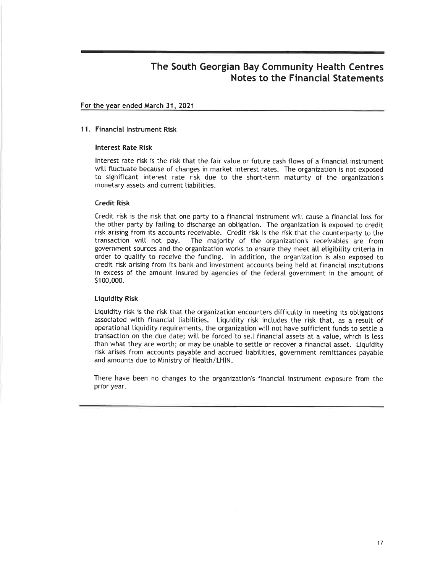#### For the vear ended March 31. 2021

#### <sup>1</sup>1. Financial lnstrument Risk

#### lnterest Rate Risk

lnterest rate risk is the risk that the fair value or future cash flows of a financial instrument will fluctuate because of changes in market interest rates. The organization is not exposed to significant interest rate risk due to the short-term maturity of the organization's monetary assets and current tiabitities.

#### Credit Risk

Credit risk is the risk that one party to a financial instrument witl cause a financial loss for the other party by faiting to discharge an obtigation. The organization is exposed to credit risk arising from its accounts receivable. Credit risk is the risk that the counterparty to the transaction will not pay. The majority of the organization's receivables are from government sources and the organization works to ensure they meet all eligibility criteria in order to quatify to receive the funding. ln addition, the organization is also exposed to credit risk arising from its bank and investment accounts being hetd at financial institutions in excess of the amount insured by agencies of the federal government in the amount of <sup>51</sup>00,000.

#### Liquidity Risk

Liquidity risk is the risk that the organization encounters difficulty in meeting its obligations associated with financiat tiabitities. Liquidity risk inctudes the risk that, as a result of operational tiquidity requirements, the organization witl not have sufficient funds to settte a transaction on the due date; witt be forced to setl financial assets at a vatue, which is less than what they are worth; or may be unable to settle or recover a financial asset. Liquidity risk arises from accounts payabte and accrued liabitities, government remittances payabte and amounts due to Ministry of Heatth/LH|N.

There have been no changes to the organization's financiat instrument exposure from the prior year.